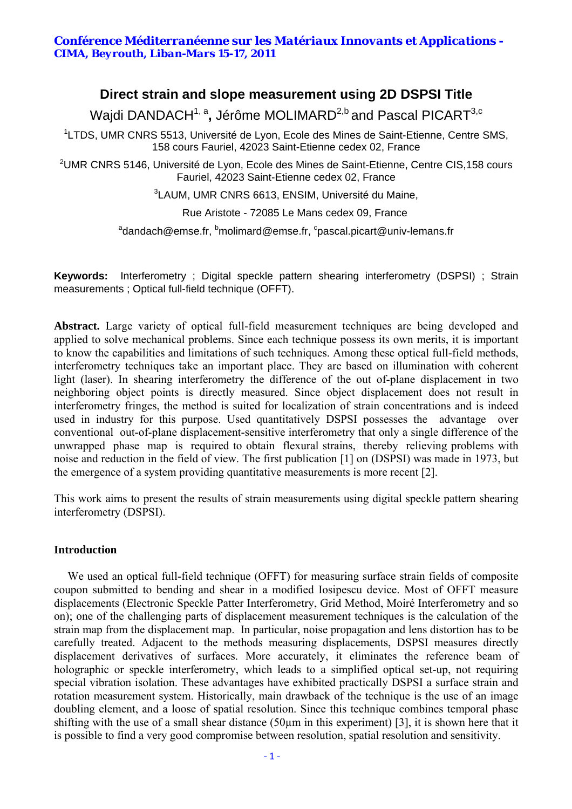## **Direct strain and slope measurement using 2D DSPSI Title**

Wajdi DANDACH<sup>1, a</sup>, Jérôme MOLIMARD<sup>2,b</sup> and Pascal PICART<sup>3,c</sup>

<sup>1</sup>LTDS, UMR CNRS 5513, Université de Lyon, Ecole des Mines de Saint-Etienne, Centre SMS, 158 cours Fauriel, 42023 Saint-Etienne cedex 02, France

 $2$ UMR CNRS 5146, Université de Lyon, Ecole des Mines de Saint-Etienne, Centre CIS,158 cours Fauriel, 42023 Saint-Etienne cedex 02, France

3 LAUM, UMR CNRS 6613, ENSIM, Université du Maine,

Rue Aristote - 72085 Le Mans cedex 09, France

 $^{\rm a}$ dandach@emse.fr,  $^{\rm b}$ molimard@emse.fr,  $^{\rm c}$ pascal.picart@univ-lemans.fr

**Keywords:** Interferometry ; Digital speckle pattern shearing interferometry (DSPSI) ; Strain measurements ; Optical full-field technique (OFFT).

**Abstract.** Large variety of optical full-field measurement techniques are being developed and applied to solve mechanical problems. Since each technique possess its own merits, it is important to know the capabilities and limitations of such techniques. Among these optical full-field methods, interferometry techniques take an important place. They are based on illumination with coherent light (laser). In shearing interferometry the difference of the out of-plane displacement in two neighboring object points is directly measured. Since object displacement does not result in interferometry fringes, the method is suited for localization of strain concentrations and is indeed used in industry for this purpose. Used quantitatively DSPSI possesses the advantage over conventional out-of-plane displacement-sensitive interferometry that only a single difference of the unwrapped phase map is required to obtain flexural strains, thereby relieving problems with noise and reduction in the field of view. The first publication [1] on (DSPSI) was made in 1973, but the emergence of a system providing quantitative measurements is more recent [2].

This work aims to present the results of strain measurements using digital speckle pattern shearing interferometry (DSPSI).

## **Introduction**

We used an optical full-field technique (OFFT) for measuring surface strain fields of composite coupon submitted to bending and shear in a modified Iosipescu device. Most of OFFT measure displacements (Electronic Speckle Patter Interferometry, Grid Method, Moiré Interferometry and so on); one of the challenging parts of displacement measurement techniques is the calculation of the strain map from the displacement map. In particular, noise propagation and lens distortion has to be carefully treated. Adjacent to the methods measuring displacements, DSPSI measures directly displacement derivatives of surfaces. More accurately, it eliminates the reference beam of holographic or speckle interferometry, which leads to a simplified optical set-up, not requiring special vibration isolation. These advantages have exhibited practically DSPSI a surface strain and rotation measurement system. Historically, main drawback of the technique is the use of an image doubling element, and a loose of spatial resolution. Since this technique combines temporal phase shifting with the use of a small shear distance (50µm in this experiment) [3], it is shown here that it is possible to find a very good compromise between resolution, spatial resolution and sensitivity.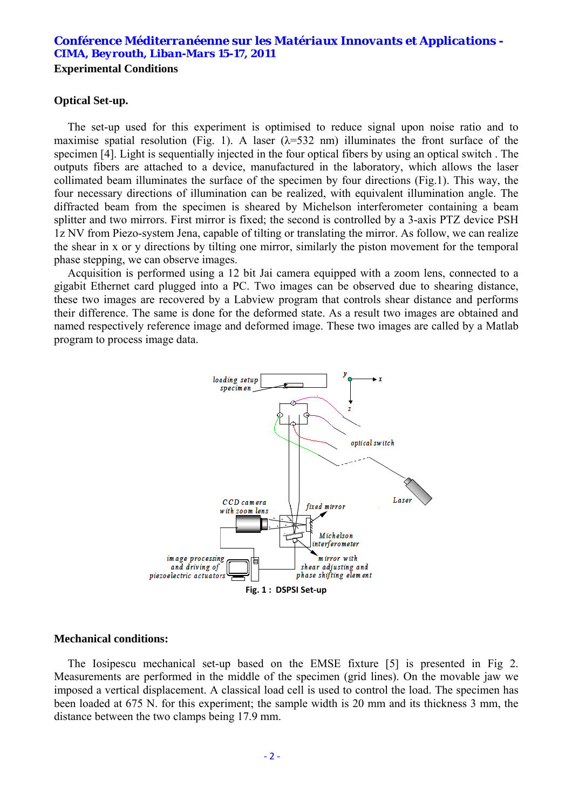# *Conférence Méditerranéenne sur les Matériaux Innovants et Applications - CIMA, Beyrouth, Liban-Mars 15-17, 2011*

**Experimental Conditions**

#### **Optical Set-up.**

The set-up used for this experiment is optimised to reduce signal upon noise ratio and to maximise spatial resolution (Fig. 1). A laser ( $\lambda$ =532 nm) illuminates the front surface of the specimen [4]. Light is sequentially injected in the four optical fibers by using an optical switch . The outputs fibers are attached to a device, manufactured in the laboratory, which allows the laser collimated beam illuminates the surface of the specimen by four directions (Fig.1). This way, the four necessary directions of illumination can be realized, with equivalent illumination angle. The diffracted beam from the specimen is sheared by Michelson interferometer containing a beam splitter and two mirrors. First mirror is fixed; the second is controlled by a 3-axis PTZ device PSH 1z NV from Piezo-system Jena, capable of tilting or translating the mirror. As follow, we can realize the shear in x or y directions by tilting one mirror, similarly the piston movement for the temporal phase stepping, we can observe images.

Acquisition is performed using a 12 bit Jai camera equipped with a zoom lens, connected to a gigabit Ethernet card plugged into a PC. Two images can be observed due to shearing distance, these two images are recovered by a Labview program that controls shear distance and performs their difference. The same is done for the deformed state. As a result two images are obtained and named respectively reference image and deformed image. These two images are called by a Matlab program to process image data.



#### **Mechanical conditions:**

The Iosipescu mechanical set-up based on the EMSE fixture [5] is presented in Fig 2. Measurements are performed in the middle of the specimen (grid lines). On the movable jaw we imposed a vertical displacement. A classical load cell is used to control the load. The specimen has been loaded at 675 N. for this experiment; the sample width is 20 mm and its thickness 3 mm, the distance between the two clamps being 17.9 mm.